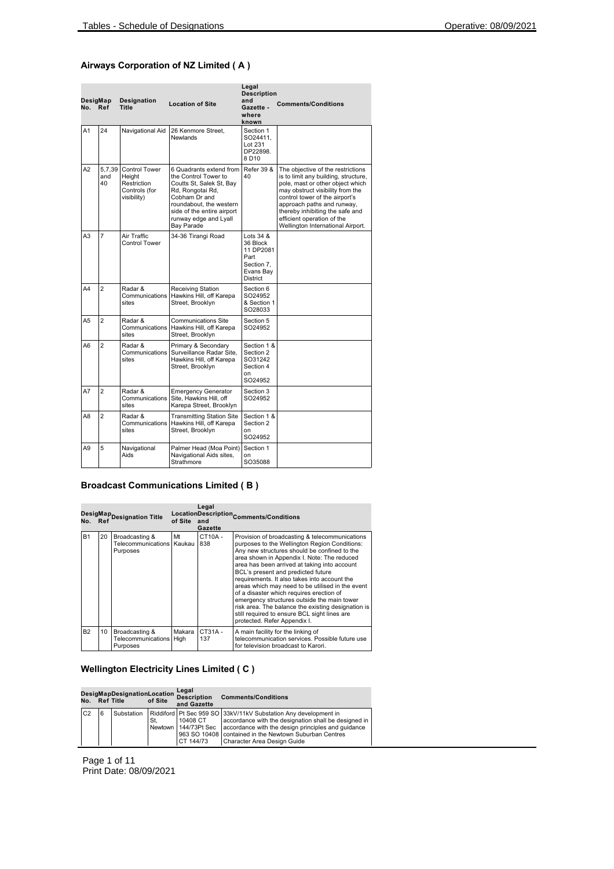### **Airways Corporation of NZ Limited ( A )**

| DesigMap<br>No. | Ref                 | Designation<br><b>Title</b>                                                   | <b>Location of Site</b>                                                                                                                                                                                          | Legal<br><b>Description</b><br>and<br>Gazette -<br>where<br>known                            | <b>Comments/Conditions</b>                                                                                                                                                                                                                                                                                              |
|-----------------|---------------------|-------------------------------------------------------------------------------|------------------------------------------------------------------------------------------------------------------------------------------------------------------------------------------------------------------|----------------------------------------------------------------------------------------------|-------------------------------------------------------------------------------------------------------------------------------------------------------------------------------------------------------------------------------------------------------------------------------------------------------------------------|
| A1              | 24                  | Navigational Aid                                                              | 26 Kenmore Street.<br>Newlands                                                                                                                                                                                   | Section 1<br>SO24411.<br>Lot 231<br>DP22898.<br>8D10                                         |                                                                                                                                                                                                                                                                                                                         |
| A2              | 5,7,39<br>and<br>40 | <b>Control Tower</b><br>Height<br>Restriction<br>Controls (for<br>visibility) | 6 Quadrants extend from<br>the Control Tower to<br>Coutts St, Salek St, Bay<br>Rd, Rongotai Rd,<br>Cobham Dr and<br>roundabout, the western<br>side of the entire airport<br>runway edge and Lyall<br>Bay Parade | <b>Refer 39 &amp;</b><br>40                                                                  | The objective of the restrictions<br>is to limit any building, structure,<br>pole, mast or other object which<br>may obstruct visibility from the<br>control tower of the airport's<br>approach paths and runway,<br>thereby inhibiting the safe and<br>efficient operation of the<br>Wellington International Airport. |
| A3              | $\overline{7}$      | Air Traffic<br>Control Tower                                                  | 34-36 Tirangi Road                                                                                                                                                                                               | Lots $34$ $8$<br>36 Block<br>11 DP2081<br>Part<br>Section 7.<br>Evans Bay<br><b>District</b> |                                                                                                                                                                                                                                                                                                                         |
| A4              | $\mathfrak{p}$      | Radar &<br>Communications<br>sites                                            | Receiving Station<br>Hawkins Hill, off Karepa<br>Street, Brooklyn                                                                                                                                                | Section 6<br>SO24952<br>& Section 1<br>SO28033                                               |                                                                                                                                                                                                                                                                                                                         |
| A5              | $\overline{2}$      | Radar &<br>Communications<br>sites                                            | <b>Communications Site</b><br>Hawkins Hill, off Karepa<br>Street, Brooklyn                                                                                                                                       | Section 5<br>SO24952                                                                         |                                                                                                                                                                                                                                                                                                                         |
| A <sub>6</sub>  | $\overline{2}$      | Radar &<br>Communications<br>sites                                            | Primary & Secondary<br>Surveillance Radar Site.<br>Hawkins Hill, off Karepa<br>Street, Brooklyn                                                                                                                  | Section 1 &<br>Section 2<br>SO31242<br>Section 4<br>on<br>SO24952                            |                                                                                                                                                                                                                                                                                                                         |
| A7              | $\overline{a}$      | Radar &<br>Communications<br>sites                                            | <b>Emergency Generator</b><br>Site, Hawkins Hill, off<br>Karepa Street, Brooklyn                                                                                                                                 | Section 3<br>SO24952                                                                         |                                                                                                                                                                                                                                                                                                                         |
| A8              | $\overline{a}$      | Radar &<br>Communications<br>sites                                            | <b>Transmitting Station Site</b><br>Hawkins Hill, off Karepa<br>Street, Brooklyn                                                                                                                                 | Section 1 &<br>Section 2<br>on<br>SO24952                                                    |                                                                                                                                                                                                                                                                                                                         |
| A9              | 5                   | Navigational<br>Aids                                                          | Palmer Head (Moa Point)<br>Navigational Aids sites,<br>Strathmore                                                                                                                                                | Section 1<br>on<br>SO35088                                                                   |                                                                                                                                                                                                                                                                                                                         |

### **Broadcast Communications Limited ( B )**

|           |    | DesigMap<br>No. Ref Designation Title              | of Site        | Legal<br>and<br>Gazette | LocationDescription <sub>Comments/Conditions</sub>                                                                                                                                                                                                                                                                                                                                                                                                                                                                                                                                                                        |
|-----------|----|----------------------------------------------------|----------------|-------------------------|---------------------------------------------------------------------------------------------------------------------------------------------------------------------------------------------------------------------------------------------------------------------------------------------------------------------------------------------------------------------------------------------------------------------------------------------------------------------------------------------------------------------------------------------------------------------------------------------------------------------------|
| <b>B1</b> | 20 | Broadcasting &<br>Telecommunications  <br>Purposes | Mt<br>Kaukau   | CT10A-<br>838           | Provision of broadcasting & telecommunications<br>purposes to the Wellington Region Conditions:<br>Any new structures should be confined to the<br>area shown in Appendix I. Note: The reduced<br>area has been arrived at taking into account<br>BCL's present and predicted future<br>requirements. It also takes into account the<br>areas which may need to be utilised in the event<br>of a disaster which requires erection of<br>emergency structures outside the main tower<br>risk area. The balance the existing designation is<br>still required to ensure BCL sight lines are<br>protected. Refer Appendix I. |
| <b>B2</b> | 10 | Broadcasting &<br>Telecommunications<br>Purposes   | Makara<br>High | $CT31A -$<br>137        | A main facility for the linking of<br>telecommunication services. Possible future use<br>for television broadcast to Karori.                                                                                                                                                                                                                                                                                                                                                                                                                                                                                              |

# **Wellington Electricity Lines Limited ( C )**

| No.            | <b>Ref Title</b> | DesigMapDesignationLocation | of Site | Legal<br><b>Description</b><br>and Gazette | <b>Comments/Conditions</b>                                                                                                                                                                                                                                                                      |
|----------------|------------------|-----------------------------|---------|--------------------------------------------|-------------------------------------------------------------------------------------------------------------------------------------------------------------------------------------------------------------------------------------------------------------------------------------------------|
| C <sub>2</sub> | 6                | Substation                  | St.     | 10408 CT<br>CT 144/73                      | Riddiford Pt Sec 959 SO 33kV/11kV Substation Any development in<br>accordance with the designation shall be designed in<br>Newtown   144/73Pt Sec   accordance with the design principles and guidance<br>963 SO 10408 contained in the Newtown Suburban Centres<br>Character Area Design Guide |

Page 1 of 11 Print Date: 08/09/2021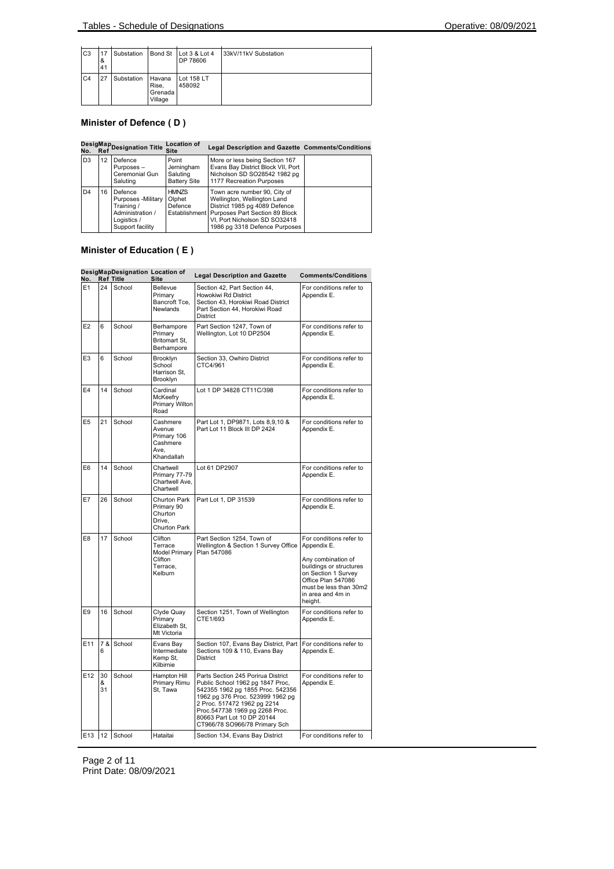| C <sub>3</sub> | 17<br>&<br>41 | Substation |                                       | Bond St Lot 3 & Lot 4<br>DP 78606 | 33kV/11kV Substation |
|----------------|---------------|------------|---------------------------------------|-----------------------------------|----------------------|
| C <sub>4</sub> | 27            | Substation | Havana<br>Rise.<br>Grenada<br>Village | Lot 158 LT<br>458092              |                      |

# **Minister of Defence ( D )**

|                |    | DesigMap<br>No. Ref<br>                                                                             | <b>Location of</b><br><b>Site</b>                      | Legal Description and Gazette Comments/Conditions                                                                                                                                                              |  |
|----------------|----|-----------------------------------------------------------------------------------------------------|--------------------------------------------------------|----------------------------------------------------------------------------------------------------------------------------------------------------------------------------------------------------------------|--|
| D <sub>3</sub> | 12 | Defence<br>Purposes-<br>Ceremonial Gun<br>Saluting                                                  | Point<br>Jerningham<br>Saluting<br><b>Battery Site</b> | More or less being Section 167<br>Evans Bay District Block VII, Port<br>Nicholson SD SO28542 1982 pg<br>1177 Recreation Purposes                                                                               |  |
| D4             | 16 | Defence<br>Purposes - Military<br>Training /<br>Administration /<br>Logistics /<br>Support facility | <b>HMNZS</b><br>Olphet<br>Defence                      | Town acre number 90, City of<br>Wellington, Wellington Land<br>District 1985 pg 4089 Defence<br>Establishment Purposes Part Section 89 Block<br>VI, Port Nicholson SD SO32418<br>1986 pg 3318 Defence Purposes |  |

# **Minister of Education ( E )**

| No.            |               | DesigMapDesignation Location of<br><b>Ref Title</b> | Site                                                                         | <b>Legal Description and Gazette</b>                                                                                                                                                                                                                                                                                     | <b>Comments/Conditions</b>                                                                                                                                                                     |
|----------------|---------------|-----------------------------------------------------|------------------------------------------------------------------------------|--------------------------------------------------------------------------------------------------------------------------------------------------------------------------------------------------------------------------------------------------------------------------------------------------------------------------|------------------------------------------------------------------------------------------------------------------------------------------------------------------------------------------------|
| E1             | 24            | School                                              | Bellevue<br>Primary<br>Bancroft Tce,<br><b>Newlands</b>                      | Section 42. Part Section 44.<br>Howokiwi Rd District<br>Section 43, Horokiwi Road District<br>Part Section 44, Horokiwi Road<br>District                                                                                                                                                                                 | For conditions refer to<br>Appendix E.                                                                                                                                                         |
| E <sub>2</sub> | 6             | School                                              | Berhampore<br>Primary<br>Britomart St,<br>Berhampore                         | Part Section 1247, Town of<br>Wellington, Lot 10 DP2504                                                                                                                                                                                                                                                                  | For conditions refer to<br>Appendix E.                                                                                                                                                         |
| E <sub>3</sub> | 6             | School                                              | <b>Brooklyn</b><br>School<br>Harrison St,<br>Brooklyn                        | Section 33, Owhiro District<br>CTC4/961                                                                                                                                                                                                                                                                                  | For conditions refer to<br>Appendix E.                                                                                                                                                         |
| E4             | 14            | School                                              | Cardinal<br>McKeefry<br>Primary Wilton<br>Road                               | Lot 1 DP 34828 CT11C/398                                                                                                                                                                                                                                                                                                 | For conditions refer to<br>Appendix E.                                                                                                                                                         |
| E <sub>5</sub> | 21            | School                                              | Cashmere<br>Avenue<br>Primary 106<br>Cashmere<br>Ave.<br>Khandallah          | Part Lot 1, DP9871, Lots 8,9,10 &<br>Part Lot 11 Block III DP 2424                                                                                                                                                                                                                                                       | For conditions refer to<br>Appendix E.                                                                                                                                                         |
| E6             | 14            | School                                              | Chartwell<br>Primary 77-79<br>Chartwell Ave,<br>Chartwell                    | Lot 61 DP2907                                                                                                                                                                                                                                                                                                            | For conditions refer to<br>Appendix E.                                                                                                                                                         |
| E7             | 26            | School                                              | Churton Park<br>Primary 90<br>Churton<br>Drive.<br>Churton Park              | Part Lot 1, DP 31539                                                                                                                                                                                                                                                                                                     | For conditions refer to<br>Appendix E.                                                                                                                                                         |
| E <sub>8</sub> | 17            | School                                              | Clifton<br>Terrace<br><b>Model Primary</b><br>Clifton<br>Terrace.<br>Kelburn | Part Section 1254, Town of<br>Wellington & Section 1 Survey Office<br>Plan 547086                                                                                                                                                                                                                                        | For conditions refer to<br>Appendix E.<br>Any combination of<br>buildings or structures<br>on Section 1 Survey<br>Office Plan 547086<br>must be less than 30m2<br>in area and 4m in<br>height. |
| E9             | 16            | School                                              | Clyde Quay<br>Primary<br>Elizabeth St,<br>Mt Victoria                        | Section 1251, Town of Wellington<br>CTE1/693                                                                                                                                                                                                                                                                             | For conditions refer to<br>Appendix E.                                                                                                                                                         |
| E11            | 7 &<br>6      | School                                              | Evans Bay<br>Intermediate<br>Kemp St,<br>Kilbirnie                           | Section 107, Evans Bay District, Part<br>Sections 109 & 110, Evans Bay<br>District                                                                                                                                                                                                                                       | For conditions refer to<br>Appendix E.                                                                                                                                                         |
| E12            | 30<br>&<br>31 | School                                              | Hampton Hill<br>Primary Rimu<br>St, Tawa                                     | For conditions refer to<br>Parts Section 245 Porirua District<br>Public School 1962 pg 1847 Proc,<br>Appendix E.<br>542355 1962 pg 1855 Proc. 542356<br>1962 pg 376 Proc. 523999 1962 pg<br>2 Proc. 517472 1962 pg 2214<br>Proc.547738 1969 pg 2268 Proc.<br>80663 Part Lot 10 DP 20144<br>CT966/78 SO966/78 Primary Sch |                                                                                                                                                                                                |
| E13            |               | 12 School                                           | Hataitai                                                                     | Section 134, Evans Bay District                                                                                                                                                                                                                                                                                          | For conditions refer to                                                                                                                                                                        |

Page 2 of 11 Print Date: 08/09/2021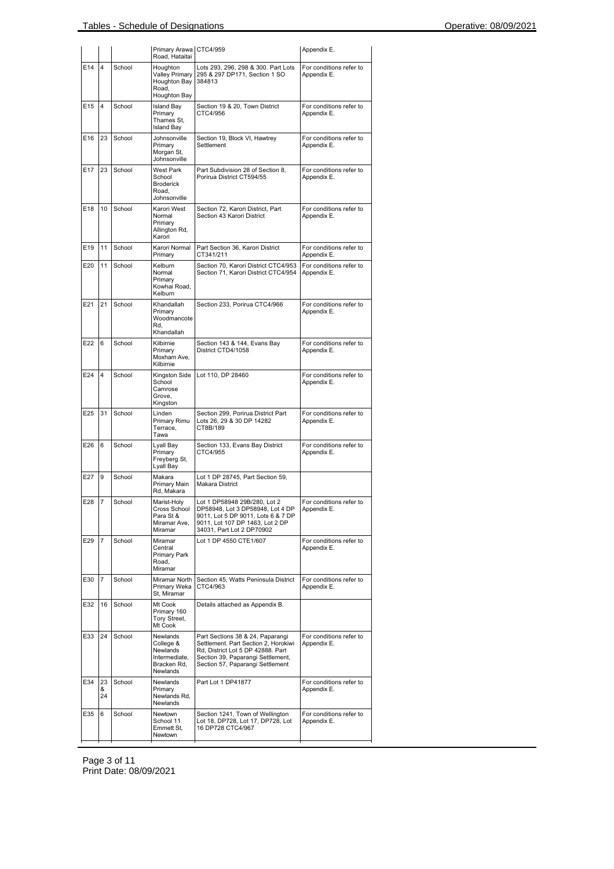|     |               |        | Primary Arawa CTC4/959<br>Road, Hataitai                                             |                                                                                                                                                                                        | Appendix E.                            |
|-----|---------------|--------|--------------------------------------------------------------------------------------|----------------------------------------------------------------------------------------------------------------------------------------------------------------------------------------|----------------------------------------|
| E14 | 4             | School | Houghton<br>Valley Primary<br>Houghton Bay<br>Road,<br>Houghton Bay                  | Lots 293, 296, 298 & 300. Part Lots<br>295 & 297 DP171, Section 1 SO<br>384813                                                                                                         | For conditions refer to<br>Appendix E. |
| E15 | 4             | School | <b>Island Bay</b><br>Primary<br>Thames St,<br><b>Island Bay</b>                      | Section 19 & 20, Town District<br>CTC4/956                                                                                                                                             | For conditions refer to<br>Appendix E. |
| E16 | 23            | School | Johnsonville<br>Primary<br>Morgan St,<br>Johnsonville                                | Section 19, Block VI, Hawtrey<br>Settlement                                                                                                                                            | For conditions refer to<br>Appendix E. |
| E17 | 23            | School | <b>West Park</b><br>School<br><b>Broderick</b><br>Road,<br>Johnsonville              | Part Subdivision 28 of Section 8,<br>Porirua District CT594/55                                                                                                                         | For conditions refer to<br>Appendix E. |
| E18 | 10            | School | Karori West<br>Normal<br>Primary<br>Allington Rd,<br>Karori                          | Section 72, Karori District, Part<br>Section 43 Karori District                                                                                                                        | For conditions refer to<br>Appendix E. |
| E19 | 11            | School | Karori Normal<br>Primary                                                             | Part Section 36, Karori District<br>CT341/211                                                                                                                                          | For conditions refer to<br>Appendix E. |
| E20 | 11            | School | Kelburn<br>Normal<br>Primary<br>Kowhai Road,<br>Kelburn                              | Section 70, Karori District CTC4/953<br>Section 71, Karori District CTC4/954                                                                                                           | For conditions refer to<br>Appendix E. |
| E21 | 21            | School | Khandallah<br>Primary<br>Woodmancote<br>Rd.<br>Khandallah                            | Section 233, Porirua CTC4/966                                                                                                                                                          | For conditions refer to<br>Appendix E. |
| E22 | 6             | School | Kilbirnie<br>Primary<br>Moxham Ave,<br>Kilbirnie                                     | Section 143 & 144, Evans Bay<br>District CTD4/1058                                                                                                                                     | For conditions refer to<br>Appendix E. |
| E24 | 4             | School | Kingston Side<br>School<br>Camrose<br>Grove,<br>Kingston                             | Lot 110, DP 28460                                                                                                                                                                      | For conditions refer to<br>Appendix E. |
| E25 | 31            | School | Linden<br>Primary Rimu<br>Terrace,<br>Tawa                                           | Section 299, Porirua District Part<br>Lots 26, 29 & 30 DP 14282<br>CT8B/189                                                                                                            | For conditions refer to<br>Appendix E. |
| E26 | 6             | School | Lyall Bay<br>Primary<br>Freyberg St,<br>Lyall Bay                                    | Section 133, Evans Bay District<br>CTC4/955                                                                                                                                            | For conditions refer to<br>Appendix E. |
| E27 | 9             | School | Makara<br>Primary Main<br>Rd, Makara                                                 | Lot 1 DP 28745, Part Section 59,<br>Makara District                                                                                                                                    |                                        |
| E28 | 17            | School | Marist-Holy<br>Cross School<br>Para St &<br>Miramar Ave,<br>Miramar                  | Lot 1 DP58948 29B/280, Lot 2<br>DP58948, Lot 3 DP58948, Lot 4 DP<br>9011, Lot 5 DP 9011, Lots 6 & 7 DP<br>9011, Lot 107 DP 1463, Lot 2 DP<br>34031, Part Lot 2 DP70902                 | For conditions refer to<br>Appendix E. |
| E29 | 7             | School | Miramar<br>Central<br>Primary Park<br>Road,<br>Miramar                               | Lot 1 DP 4550 CTE1/607                                                                                                                                                                 | For conditions refer to<br>Appendix E. |
| E30 | 7             | School | Miramar North<br>Primary Weka<br>St, Miramar                                         | Section 45, Watts Peninsula District<br>CTC4/963                                                                                                                                       | For conditions refer to<br>Appendix E. |
| E32 | 16            | School | Mt Cook<br>Primary 160<br>Tory Street.<br>Mt Cook                                    | Details attached as Appendix B.                                                                                                                                                        |                                        |
| E33 | 24            | School | Newlands<br>College &<br>Newlands<br>Intermediate,<br>Bracken Rd,<br><b>Newlands</b> | Part Sections 38 & 24, Paparangi<br>Settlement. Part Section 2, Horokiwi<br>Rd, District Lot 5 DP 42888. Part<br>Section 39, Paparangi Settlement,<br>Section 57, Paparangi Settlement | For conditions refer to<br>Appendix E. |
| E34 | 23<br>&<br>24 | School | <b>Newlands</b><br>Primary<br>Newlands Rd,<br>Newlands                               | Part Lot 1 DP41877                                                                                                                                                                     | For conditions refer to<br>Appendix E. |
| E35 | 6             | School | <b>Newtown</b><br>School 11<br>Emmett St,<br>Newtown                                 | Section 1241, Town of Wellington<br>Lot 18, DP728, Lot 17, DP728, Lot<br>16 DP728 CTC4/967                                                                                             | For conditions refer to<br>Appendix E. |

Page 3 of 11 Print Date: 08/09/2021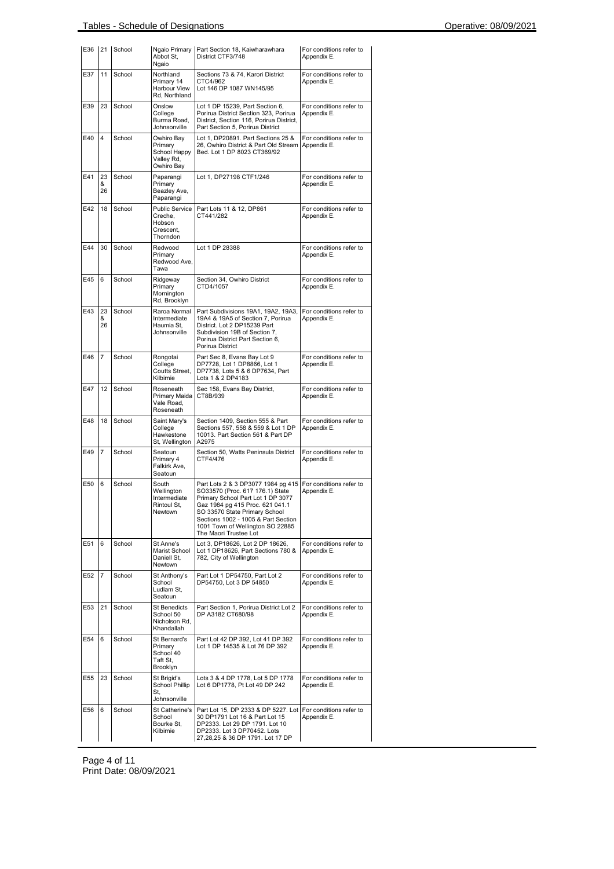| E36 | 21            | School | Abbot St,<br>Ngaio                                                   | Ngaio Primary Part Section 18, Kaiwharawhara<br>District CTF3/748                                                                                                                                                                                                                  | For conditions refer to<br>Appendix E. |
|-----|---------------|--------|----------------------------------------------------------------------|------------------------------------------------------------------------------------------------------------------------------------------------------------------------------------------------------------------------------------------------------------------------------------|----------------------------------------|
| E37 | 11            | School | Northland<br>Primary 14<br>Harbour View<br>Rd. Northland             | Sections 73 & 74, Karori District<br>CTC4/962<br>Lot 146 DP 1087 WN145/95                                                                                                                                                                                                          | For conditions refer to<br>Appendix E. |
| E39 | 23            | School | Onslow<br>College<br>Burma Road,<br>Johnsonville                     | Lot 1 DP 15239, Part Section 6,<br>Porirua District Section 323, Porirua<br>District, Section 116, Porirua District,<br>Part Section 5, Porirua District                                                                                                                           | For conditions refer to<br>Appendix E. |
| E40 | 4             | School | Owhiro Bay<br>Primary<br>School Happy<br>Valley Rd,<br>Owhiro Bay    | Lot 1, DP20891. Part Sections 25 &<br>26, Owhiro District & Part Old Stream<br>Bed. Lot 1 DP 8023 CT369/92                                                                                                                                                                         | For conditions refer to<br>Appendix E. |
| E41 | 23<br>&<br>26 | School | Paparangi<br>Primary<br>Beazley Ave,<br>Paparangi                    | Lot 1, DP27198 CTF1/246                                                                                                                                                                                                                                                            | For conditions refer to<br>Appendix E. |
| E42 | 18            | School | <b>Public Service</b><br>Creche.<br>Hobson<br>Crescent,<br>Thorndon  | Part Lots 11 & 12, DP861<br>CT441/282                                                                                                                                                                                                                                              | For conditions refer to<br>Appendix E. |
| E44 | 30            | School | Redwood<br>Primary<br>Redwood Ave,<br>Tawa                           | Lot 1 DP 28388                                                                                                                                                                                                                                                                     | For conditions refer to<br>Appendix E. |
| E45 | 6             | School | Ridgeway<br>Primary<br>Mornington<br>Rd, Brooklyn                    | Section 34, Owhiro District<br>CTD4/1057                                                                                                                                                                                                                                           | For conditions refer to<br>Appendix E. |
| E43 | 23<br>&<br>26 | School | Raroa Normal<br>Intermediate<br>Haumia St,<br>Johnsonville           | Part Subdivisions 19A1, 19A2, 19A3,<br>19A4 & 19A5 of Section 7, Porirua<br>District. Lot 2 DP15239 Part<br>Subdivision 19B of Section 7,<br>Porirua District Part Section 6,<br>Porirua District                                                                                  | For conditions refer to<br>Appendix E. |
| E46 | 7             | School | Rongotai<br>College<br>Coutts Street,<br>Kilbirnie                   | Part Sec 8, Evans Bay Lot 9<br>DP7728, Lot 1 DP8866, Lot 1<br>DP7738, Lots 5 & 6 DP7634, Part<br>Lots 1 & 2 DP4183                                                                                                                                                                 | For conditions refer to<br>Appendix E. |
| E47 | 12            | School | Roseneath<br>Primary Maida<br>Vale Road,<br>Roseneath                | Sec 158, Evans Bay District,<br>CT8B/939                                                                                                                                                                                                                                           | For conditions refer to<br>Appendix E. |
| E48 | 18            | School | Saint Mary's<br>College<br>Hawkestone<br>St. Wellinaton              | Section 1409, Section 555 & Part<br>Sections 557, 558 & 559 & Lot 1 DP<br>10013. Part Section 561 & Part DP<br>A2975                                                                                                                                                               | For conditions refer to<br>Appendix E. |
| E49 | 7             | School | Seatoun<br>Primary 4<br>Falkirk Ave,<br>Seatoun                      | Section 50, Watts Peninsula District<br>CTF4/476                                                                                                                                                                                                                                   | For conditions refer to<br>Appendix E. |
| E50 | 6             | School | South<br>Wellington<br>Intermediate<br>Rintoul St,<br><b>Newtown</b> | Part Lots 2 & 3 DP3077 1984 pg 415<br>SO33570 (Proc. 617 176.1) State<br>Primary School Part Lot 1 DP 3077<br>Gaz 1984 pg 415 Proc. 621 041.1<br>SO 33570 State Primary School<br>Sections 1002 - 1005 & Part Section<br>1001 Town of Wellington SO 22885<br>The Maori Trustee Lot | For conditions refer to<br>Appendix E. |
| E51 | 6             | School | St Anne's<br>Marist School<br>Daniell St,<br>Newtown                 | Lot 3, DP18626, Lot 2 DP 18626,<br>Lot 1 DP18626, Part Sections 780 &<br>782, City of Wellington                                                                                                                                                                                   | For conditions refer to<br>Appendix E. |
| E52 | 7             | School | St Anthony's<br>School<br>Ludlam St,<br>Seatoun                      | Part Lot 1 DP54750, Part Lot 2<br>DP54750, Lot 3 DP 54850                                                                                                                                                                                                                          | For conditions refer to<br>Appendix E. |
| E53 | 21            | School | <b>St Benedicts</b><br>School 50<br>Nicholson Rd,<br>Khandallah      | Part Section 1, Porirua District Lot 2<br>DP A3182 CT680/98                                                                                                                                                                                                                        | For conditions refer to<br>Appendix E. |
| E54 | 6             | School | St Bernard's<br>Primary<br>School 40<br>Taft St,<br>Brooklyn         | Part Lot 42 DP 392, Lot 41 DP 392<br>Lot 1 DP 14535 & Lot 76 DP 392                                                                                                                                                                                                                | For conditions refer to<br>Appendix E. |
| E55 | 23            | School | St Brigid's<br><b>School Phillip</b><br>St.<br>Johnsonville          | Lots 3 & 4 DP 1778, Lot 5 DP 1778<br>Lot 6 DP1778, Pt Lot 49 DP 242                                                                                                                                                                                                                | For conditions refer to<br>Appendix E. |
| E56 | 6             | School | St Catherine's<br>School<br>Bourke St,<br>Kilbirnie                  | Part Lot 15, DP 2333 & DP 5227. Lot<br>30 DP1791 Lot 16 & Part Lot 15<br>DP2333. Lot 29 DP 1791. Lot 10<br>DP2333. Lot 3 DP70452. Lots<br>27,28,25 & 36 DP 1791. Lot 17 DP                                                                                                         | For conditions refer to<br>Appendix E. |

Page 4 of 11 Print Date: 08/09/2021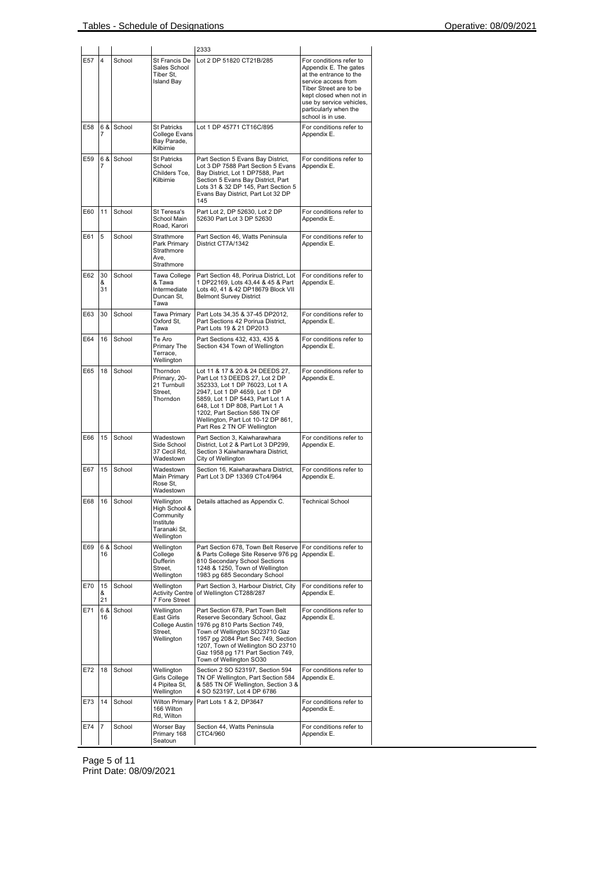|     |               |           |                                                                                     | 2333                                                                                                                                                                                                                                                                                                               |                                                                                                                                                                                                                                  |
|-----|---------------|-----------|-------------------------------------------------------------------------------------|--------------------------------------------------------------------------------------------------------------------------------------------------------------------------------------------------------------------------------------------------------------------------------------------------------------------|----------------------------------------------------------------------------------------------------------------------------------------------------------------------------------------------------------------------------------|
| E57 | 4             | School    | St Francis De<br>Sales School<br>Tiber St,<br><b>Island Bay</b>                     | Lot 2 DP 51820 CT21B/285                                                                                                                                                                                                                                                                                           | For conditions refer to<br>Appendix E. The gates<br>at the entrance to the<br>service access from<br>Tiber Street are to be<br>kept closed when not in<br>use by service vehicles,<br>particularly when the<br>school is in use. |
| E58 | 6 & I<br>7    | School    | <b>St Patricks</b><br>College Evans<br>Bay Parade,<br>Kilbirnie                     | Lot 1 DP 45771 CT16C/895                                                                                                                                                                                                                                                                                           | For conditions refer to<br>Appendix E.                                                                                                                                                                                           |
| E59 | 6 &<br>7      | School    | <b>St Patricks</b><br>School<br>Childers Tce,<br>Kilbirnie                          | Part Section 5 Evans Bay District,<br>Lot 3 DP 7588 Part Section 5 Evans<br>Bay District, Lot 1 DP7588, Part<br>Section 5 Evans Bay District, Part<br>Lots 31 & 32 DP 145, Part Section 5<br>Evans Bay District, Part Lot 32 DP<br>145                                                                             | For conditions refer to<br>Appendix E.                                                                                                                                                                                           |
| E60 | 11            | School    | St Teresa's<br>School Main<br>Road, Karori                                          | Part Lot 2, DP 52630, Lot 2 DP<br>52630 Part Lot 3 DP 52630                                                                                                                                                                                                                                                        | For conditions refer to<br>Appendix E.                                                                                                                                                                                           |
| E61 | 5             | School    | Strathmore<br>Park Primary<br>Strathmore<br>Ave,<br>Strathmore                      | Part Section 46, Watts Peninsula<br>District CT7A/1342                                                                                                                                                                                                                                                             | For conditions refer to<br>Appendix E.                                                                                                                                                                                           |
| E62 | 30<br>&<br>31 | School    | Tawa College<br>& Tawa<br>Intermediate<br>Duncan St,<br>Tawa                        | Part Section 48, Porirua District, Lot<br>1 DP22169, Lots 43,44 & 45 & Part<br>Lots 40, 41 & 42 DP18679 Block VII<br><b>Belmont Survey District</b>                                                                                                                                                                | For conditions refer to<br>Appendix E.                                                                                                                                                                                           |
| E63 | 30            | School    | Tawa Primary<br>Oxford St,<br>Tawa                                                  | Part Lots 34,35 & 37-45 DP2012,<br>Part Sections 42 Porirua District,<br>Part Lots 19 & 21 DP2013                                                                                                                                                                                                                  | For conditions refer to<br>Appendix E.                                                                                                                                                                                           |
| E64 | 16            | School    | Te Aro<br>Primary The<br>Terrace,<br>Wellington                                     | Part Sections 432, 433, 435 &<br>Section 434 Town of Wellington                                                                                                                                                                                                                                                    | For conditions refer to<br>Appendix E.                                                                                                                                                                                           |
| E65 | 18            | School    | Thorndon<br>Primary, 20-<br>21 Turnbull<br>Street,<br>Thorndon                      | Lot 11 & 17 & 20 & 24 DEEDS 27,<br>Part Lot 13 DEEDS 27, Lot 2 DP<br>352333, Lot 1 DP 76023, Lot 1 A<br>2947, Lot 1 DP 4659, Lot 1 DP<br>5859, Lot 1 DP 5443, Part Lot 1 A<br>648, Lot 1 DP 808, Part Lot 1 A<br>1202, Part Section 586 TN OF<br>Wellington, Part Lot 10-12 DP 861,<br>Part Res 2 TN OF Wellington | For conditions refer to<br>Appendix E.                                                                                                                                                                                           |
| E66 | 15            | School    | Wadestown<br>Side School<br>37 Cecil Rd,<br>Wadestown                               | Part Section 3, Kaiwharawhara<br>District, Lot 2 & Part Lot 3 DP299,<br>Section 3 Kaiwharawhara District,<br>City of Wellington                                                                                                                                                                                    | For conditions refer to<br>Appendix E.                                                                                                                                                                                           |
| E67 | 15            | School    | Wadestown<br>Main Primary<br>Rose St,<br>Wadestown                                  | Section 16, Kaiwharawhara District,<br>Part Lot 3 DP 13369 CTc4/964                                                                                                                                                                                                                                                | For conditions refer to<br>Appendix E.                                                                                                                                                                                           |
| E68 |               | 16 School | Wellington<br>High School &<br>Community<br>Institute<br>Taranaki St,<br>Wellington | Details attached as Appendix C.                                                                                                                                                                                                                                                                                    | <b>Technical School</b>                                                                                                                                                                                                          |
| E69 | 6 &<br>16     | School    | Wellington<br>College<br>Dufferin<br>Street.<br>Wellington                          | Part Section 678, Town Belt Reserve<br>& Parts College Site Reserve 976 pg<br>810 Secondary School Sections<br>1248 & 1250, Town of Wellington<br>1983 pg 685 Secondary School                                                                                                                                     | For conditions refer to<br>Appendix E.                                                                                                                                                                                           |
| E70 | 15<br>&<br>21 | School    | Wellington<br><b>Activity Centre</b><br>7 Fore Street                               | Part Section 3, Harbour District, City<br>of Wellington CT288/287                                                                                                                                                                                                                                                  | For conditions refer to<br>Appendix E.                                                                                                                                                                                           |
| E71 | 6 &<br>16     | School    | Wellington<br>East Girls<br>College Austin<br>Street.<br>Wellington                 | Part Section 678, Part Town Belt<br>Reserve Secondary School, Gaz<br>1976 pg 810 Parts Section 749,<br>Town of Wellington SO23710 Gaz<br>1957 pg 2084 Part Sec 749, Section<br>1207, Town of Wellington SO 23710<br>Gaz 1958 pg 171 Part Section 749,<br>Town of Wellington SO30                                   | For conditions refer to<br>Appendix E.                                                                                                                                                                                           |
| E72 | 18            | School    | Wellington<br>Girls College<br>4 Pipitea St,<br>Wellington                          | Section 2 SO 523197, Section 594<br>TN OF Wellington, Part Section 584<br>& 585 TN OF Wellington, Section 3 &<br>4 SO 523197, Lot 4 DP 6786                                                                                                                                                                        | For conditions refer to<br>Appendix E.                                                                                                                                                                                           |
| E73 | 14            | School    | <b>Wilton Primary</b><br>166 Wilton<br>Rd, Wilton                                   | Part Lots 1 & 2, DP3647                                                                                                                                                                                                                                                                                            | For conditions refer to<br>Appendix E.                                                                                                                                                                                           |
| E74 | 7             | School    | Worser Bay<br>Primary 168<br>Seatoun                                                | Section 44, Watts Peninsula<br>CTC4/960                                                                                                                                                                                                                                                                            | For conditions refer to<br>Appendix E.                                                                                                                                                                                           |

Page 5 of 11 Print Date: 08/09/2021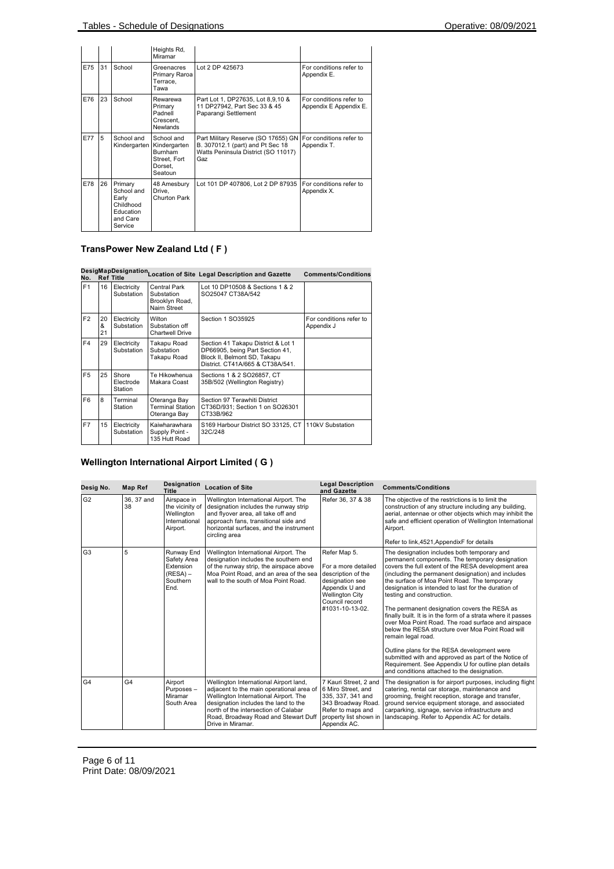|     |    |                                                                                 | Heights Rd,<br>Miramar                                                             |                                                                                                                       |                                                   |
|-----|----|---------------------------------------------------------------------------------|------------------------------------------------------------------------------------|-----------------------------------------------------------------------------------------------------------------------|---------------------------------------------------|
| E75 | 31 | School                                                                          | Greenacres<br>Primary Raroa<br>Terrace,<br>Tawa                                    | Lot 2 DP 425673                                                                                                       | For conditions refer to<br>Appendix E.            |
| E76 | 23 | School                                                                          | Rewarewa<br>Primary<br>Padnell<br>Crescent.<br><b>Newlands</b>                     | Part Lot 1, DP27635, Lot 8,9,10 &<br>11 DP27942, Part Sec 33 & 45<br>Paparangi Settlement                             | For conditions refer to<br>Appendix E Appendix E. |
| E77 | 5  | School and<br>Kindergarten                                                      | School and<br>Kindergarten<br><b>Burnham</b><br>Street, Fort<br>Dorset,<br>Seatoun | Part Military Reserve (SO 17655) GN<br>B. 307012.1 (part) and Pt Sec 18<br>Watts Peninsula District (SO 11017)<br>Gaz | For conditions refer to<br>Appendix T.            |
| E78 | 26 | Primary<br>School and<br>Early<br>Childhood<br>Education<br>and Care<br>Service | 48 Amesbury<br>Drive.<br>Churton Park                                              | Lot 101 DP 407806, Lot 2 DP 87935                                                                                     | For conditions refer to<br>Appendix X.            |

# **TransPower New Zealand Ltd ( F )**

|                |               |                               |                                                                     | DesigMapDesignation Location of Site Legal Description and Gazette                                                                        | <b>Comments/Conditions</b>            |
|----------------|---------------|-------------------------------|---------------------------------------------------------------------|-------------------------------------------------------------------------------------------------------------------------------------------|---------------------------------------|
| F <sub>1</sub> | 16            | Electricity<br>Substation     | <b>Central Park</b><br>Substation<br>Brooklyn Road,<br>Nairn Street | Lot 10 DP10508 & Sections 1 & 2<br>SO25047 CT38A/542                                                                                      |                                       |
| F2             | 20<br>&<br>21 | Electricity<br>Substation     | Wilton<br>Substation off<br><b>Chartwell Drive</b>                  | Section 1 SO35925                                                                                                                         | For conditions refer to<br>Appendix J |
| F4             | 29            | Electricity<br>Substation     | Takapu Road<br>Substation<br>Takapu Road                            | Section 41 Takapu District & Lot 1<br>DP66905, being Part Section 41,<br>Block II, Belmont SD, Takapu<br>District. CT41A/665 & CT38A/541. |                                       |
| F <sub>5</sub> | 25            | Shore<br>Electrode<br>Station | Te Hikowhenua<br>Makara Coast                                       | Sections 1 & 2 SO26857, CT<br>35B/502 (Wellington Registry)                                                                               |                                       |
| F <sub>6</sub> | 8             | Terminal<br>Station           | Oteranga Bay<br><b>Terminal Station</b><br>Oteranga Bay             | Section 97 Terawhiti District<br>CT36D/931; Section 1 on SO26301<br>CT33B/962                                                             |                                       |
| F7             | 15            | Electricity<br>Substation     | Kaiwharawhara<br>Supply Point -<br>135 Hutt Road                    | S169 Harbour District SO 33125, CT<br>32C/248                                                                                             | 110kV Substation                      |

# **Wellington International Airport Limited ( G )**

| Desig No.      | <b>Map Ref</b>   | Designation<br>Title                                                      | <b>Location of Site</b>                                                                                                                                                                                                                                                  | <b>Legal Description</b><br>and Gazette                                                                                                                       | <b>Comments/Conditions</b>                                                                                                                                                                                                                                                                                                                                                                                                                                                                                                                                                                                                                                                                                                                                                                                     |
|----------------|------------------|---------------------------------------------------------------------------|--------------------------------------------------------------------------------------------------------------------------------------------------------------------------------------------------------------------------------------------------------------------------|---------------------------------------------------------------------------------------------------------------------------------------------------------------|----------------------------------------------------------------------------------------------------------------------------------------------------------------------------------------------------------------------------------------------------------------------------------------------------------------------------------------------------------------------------------------------------------------------------------------------------------------------------------------------------------------------------------------------------------------------------------------------------------------------------------------------------------------------------------------------------------------------------------------------------------------------------------------------------------------|
| G2             | 36, 37 and<br>38 | Airspace in<br>the vicinity of<br>Wellington<br>International<br>Airport. | Wellington International Airport. The<br>designation includes the runway strip<br>and flyover area, all take off and<br>approach fans, transitional side and<br>horizontal surfaces, and the instrument<br>circling area                                                 | Refer 36, 37 & 38                                                                                                                                             | The objective of the restrictions is to limit the<br>construction of any structure including any building,<br>aerial, antennae or other objects which may inhibit the<br>safe and efficient operation of Wellington International<br>Airport.<br>Refer to link, 4521, AppendixF for details                                                                                                                                                                                                                                                                                                                                                                                                                                                                                                                    |
| G <sub>3</sub> | 5                | Runway End<br>Safety Area<br>Extension<br>$(RESA) -$<br>Southern<br>End.  | Wellington International Airport. The<br>designation includes the southern end<br>of the runway strip, the airspace above<br>Moa Point Road, and an area of the sea<br>wall to the south of Moa Point Road.                                                              | Refer Map 5.<br>For a more detailed<br>description of the<br>designation see<br>Appendix U and<br><b>Wellington City</b><br>Council record<br>#1031-10-13-02. | The designation includes both temporary and<br>permanent components. The temporary designation<br>covers the full extent of the RESA development area<br>(including the permanent designation) and includes<br>the surface of Moa Point Road. The temporary<br>designation is intended to last for the duration of<br>testing and construction.<br>The permanent designation covers the RESA as<br>finally built. It is in the form of a strata where it passes<br>over Moa Point Road. The road surface and airspace<br>below the RESA structure over Moa Point Road will<br>remain legal road.<br>Outline plans for the RESA development were<br>submitted with and approved as part of the Notice of<br>Requirement. See Appendix U for outline plan details<br>and conditions attached to the designation. |
| G4             | G4               | Airport<br>Purposes-<br>Miramar<br>South Area                             | Wellington International Airport land,<br>adjacent to the main operational area of<br>Wellington International Airport. The<br>designation includes the land to the<br>north of the intersection of Calabar<br>Road, Broadway Road and Stewart Duff<br>Drive in Miramar. | 7 Kauri Street, 2 and<br>6 Miro Street, and<br>335, 337, 341 and<br>343 Broadway Road.<br>Refer to maps and<br>property list shown in<br>Appendix AC.         | The designation is for airport purposes, including flight<br>catering, rental car storage, maintenance and<br>grooming, freight reception, storage and transfer,<br>ground service equipment storage, and associated<br>carparking, signage, service infrastructure and<br>landscaping. Refer to Appendix AC for details.                                                                                                                                                                                                                                                                                                                                                                                                                                                                                      |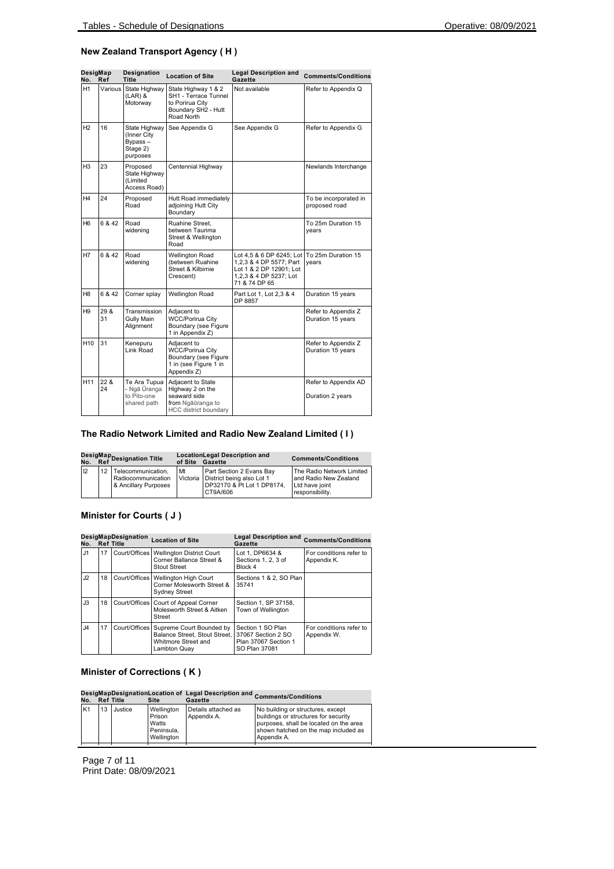#### **New Zealand Transport Agency ( H )**

| DesigMap<br>No. | Ref        | <b>Designation</b><br><b>Title</b>                              | <b>Location of Site</b>                                                                                    | <b>Legal Description and</b><br>Gazette                                                                                                      | <b>Comments/Conditions</b>               |
|-----------------|------------|-----------------------------------------------------------------|------------------------------------------------------------------------------------------------------------|----------------------------------------------------------------------------------------------------------------------------------------------|------------------------------------------|
| H1              | Various I  | State Highway<br>$(LAR)$ &<br>Motorway                          | State Highway 1 & 2<br>SH1 - Terrace Tunnel<br>to Porirua City<br>Boundary SH2 - Hutt<br>Road North        | Not available                                                                                                                                | Refer to Appendix Q                      |
| H <sub>2</sub>  | 16         | State Highway<br>(Inner City<br>Bypass-<br>Stage 2)<br>purposes | See Appendix G                                                                                             | See Appendix G                                                                                                                               | Refer to Appendix G                      |
| H3              | 23         | Proposed<br>State Highway<br>(Limited<br>Access Road)           | Centennial Highway                                                                                         |                                                                                                                                              | Newlands Interchange                     |
| Η4              | 24         | Proposed<br>Road                                                | Hutt Road immediately<br>adjoining Hutt City<br>Boundary                                                   |                                                                                                                                              | To be incorporated in<br>proposed road   |
| H <sub>6</sub>  | 6 & 42     | Road<br>widening                                                | Ruahine Street.<br>between Taurima<br>Street & Wellington<br>Road                                          |                                                                                                                                              | To 25m Duration 15<br>years              |
| H7              | 6 & 42     | Road<br>widening                                                | <b>Wellington Road</b><br>(between Ruahine<br>Street & Kilbirnie<br>Crescent)                              | Lot 4,5 & 6 DP 6245; Lot To 25m Duration 15<br>1,2,3 & 4 DP 5577; Part<br>Lot 1 & 2 DP 12901; Lot<br>1,2,3 & 4 DP 5237; Lot<br>71 & 74 DP 65 | years                                    |
| H8              | 6 & 42     | Corner splay                                                    | <b>Wellington Road</b>                                                                                     | Part Lot 1, Lot 2,3 & 4<br>DP 8857                                                                                                           | Duration 15 years                        |
| H <sub>9</sub>  | 29 &<br>31 | Transmission<br><b>Gully Main</b><br>Alignment                  | Adjacent to<br><b>WCC/Porirua City</b><br>Boundary (see Figure<br>1 in Appendix Z)                         |                                                                                                                                              | Refer to Appendix Z<br>Duration 15 years |
| H <sub>10</sub> | 31         | Kenepuru<br>Link Road                                           | Adjacent to<br>WCC/Porirua City<br>Boundary (see Figure<br>1 in (see Figure 1 in<br>Appendix Z)            |                                                                                                                                              | Refer to Appendix Z<br>Duration 15 years |
| H <sub>11</sub> | 22 &<br>24 | Te Ara Tupua<br>- Ngā Ūranga<br>to Pito-one<br>shared path      | Adjacent to State<br>Highway 2 on the<br>seaward side<br>from Ngāūranga to<br><b>HCC</b> district boundary |                                                                                                                                              | Refer to Appendix AD<br>Duration 2 years |

#### **The Radio Network Limited and Radio New Zealand Limited ( I )**

| DesigMap<br>No. Ref <sup>Designation Title</sup> |    |                                                                  | of Site        | <b>LocationLegal Description and</b><br>Gazette                                                 | <b>Comments/Conditions</b>                                                              |
|--------------------------------------------------|----|------------------------------------------------------------------|----------------|-------------------------------------------------------------------------------------------------|-----------------------------------------------------------------------------------------|
| 12                                               | 12 | Telecommunication.<br>Radiocommunication<br>& Ancillary Purposes | Mt<br>Victoria | Part Section 2 Evans Bay<br>District being also Lot 1<br>DP32170 & Pt Lot 1 DP8174.<br>CT9A/606 | The Radio Network Limited<br>and Radio New Zealand<br>Ltd have joint<br>responsibility. |

### **Minister for Courts ( J )**

| No.            |    | DesigMapDesignation<br><b>Ref Title</b> | <b>Location of Site</b>                                                                          | Legal Description and Comments/Conditions<br>Gazette                             |                                        |
|----------------|----|-----------------------------------------|--------------------------------------------------------------------------------------------------|----------------------------------------------------------------------------------|----------------------------------------|
| J1             | 17 | Court/Offices                           | <b>Wellington District Court</b><br>Corner Ballance Street &<br>Stout Street                     | Lot 1, DP6634 &<br>Sections 1, 2, 3 of<br>Block 4                                | For conditions refer to<br>Appendix K. |
| J2             | 18 | Court/Offices                           | Wellington High Court<br>Corner Molesworth Street &<br><b>Sydney Street</b>                      | Sections 1 & 2, SO Plan<br>35741                                                 |                                        |
| J3             | 18 | Court/Offices                           | Court of Appeal Corner<br>Molesworth Street & Aitken<br>Street                                   | Section 1, SP 37158,<br><b>Town of Wellington</b>                                |                                        |
| J <sub>4</sub> | 17 | Court/Offices                           | Supreme Court Bounded by<br>Balance Street, Stout Street,<br>Whitmore Street and<br>Lambton Quay | Section 1 SO Plan<br>37067 Section 2 SO<br>Plan 37067 Section 1<br>SO Plan 37081 | For conditions refer to<br>Appendix W. |

#### **Minister of Corrections ( K )**

# **Desig No. Map Ref Designation Title Location of Site Legal Description and Gazette Comments/Conditions**

| No.            |    | <b>Ref</b> Title | Site                                                      | Gazette                            |                                                                                                                                                                            |
|----------------|----|------------------|-----------------------------------------------------------|------------------------------------|----------------------------------------------------------------------------------------------------------------------------------------------------------------------------|
| K <sub>1</sub> | 13 | Justice          | Wellington<br>Prison<br>Watts<br>Peninsula.<br>Wellington | Details attached as<br>Appendix A. | No building or structures, except<br>buildings or structures for security<br>purposes, shall be located on the area<br>shown hatched on the map included as<br>Appendix A. |
|                |    |                  |                                                           |                                    |                                                                                                                                                                            |

Page 7 of 11 Print Date: 08/09/2021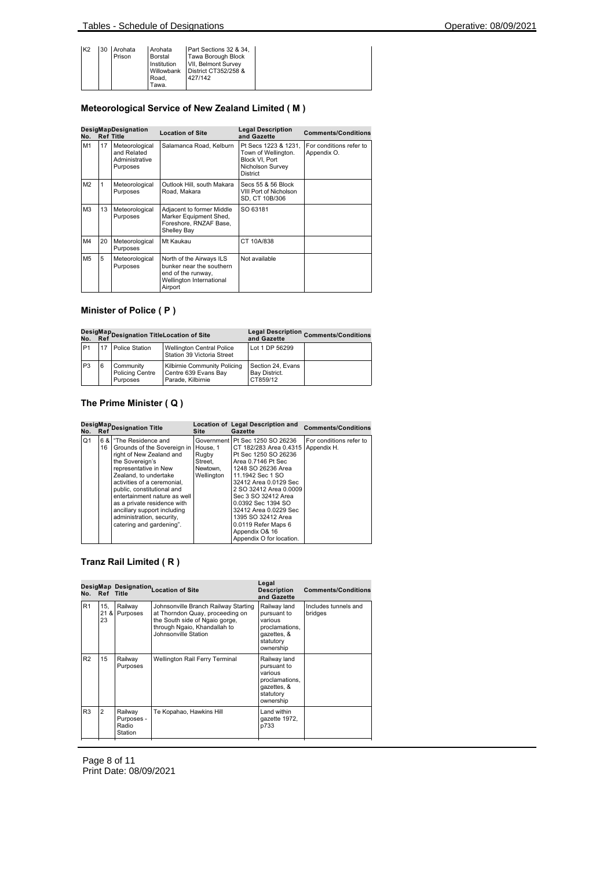| K <sub>2</sub> |  | 30 Arohata<br>Prison | <b>Arohata</b><br>Borstal<br>Institution<br>Willowbank<br>Road.<br>Tawa. | Part Sections 32 & 34,<br><b>Tawa Borough Block</b><br>VII, Belmont Survey<br>District CT352/258 &<br>427/142 |  |
|----------------|--|----------------------|--------------------------------------------------------------------------|---------------------------------------------------------------------------------------------------------------|--|
|----------------|--|----------------------|--------------------------------------------------------------------------|---------------------------------------------------------------------------------------------------------------|--|

### **Meteorological Service of New Zealand Limited ( M )**

| No.            |    | DesigMapDesignation<br><b>Ref Title</b>                     | <b>Location of Site</b>                                                                                           | <b>Legal Description</b><br>and Gazette                                                              | <b>Comments/Conditions</b>             |
|----------------|----|-------------------------------------------------------------|-------------------------------------------------------------------------------------------------------------------|------------------------------------------------------------------------------------------------------|----------------------------------------|
| M1             | 17 | Meteorological<br>and Related<br>Administrative<br>Purposes | Salamanca Road, Kelburn                                                                                           | Pt Secs 1223 & 1231.<br>Town of Wellington.<br>Block VI. Port<br>Nicholson Survey<br><b>District</b> | For conditions refer to<br>Appendix O. |
| M <sub>2</sub> | 1  | Meteorological<br>Purposes                                  | Outlook Hill, south Makara<br>Road, Makara                                                                        | Secs 55 & 56 Block<br>VIII Port of Nicholson<br>SD, CT 10B/306                                       |                                        |
| M <sub>3</sub> | 13 | Meteorological<br>Purposes                                  | Adjacent to former Middle<br>Marker Equipment Shed,<br>Foreshore, RNZAF Base,<br>Shelley Bay                      | SO 63181                                                                                             |                                        |
| M4             | 20 | Meteorological<br>Purposes                                  | Mt Kaukau                                                                                                         | CT 10A/838                                                                                           |                                        |
| M <sub>5</sub> | 5  | Meteorological<br>Purposes                                  | North of the Airways ILS<br>bunker near the southern<br>end of the runway,<br>Wellington International<br>Airport | Not available                                                                                        |                                        |

### **Minister of Police ( P )**

| DesigMap<br>No. Ref Designation TitleLocation of Site |    |                                                 |                                                                           | and Gazette                                    | Legal Description Comments/Conditions |
|-------------------------------------------------------|----|-------------------------------------------------|---------------------------------------------------------------------------|------------------------------------------------|---------------------------------------|
| P <sub>1</sub>                                        | 17 | <b>Police Station</b>                           | <b>Wellington Central Police</b><br>Station 39 Victoria Street            | Lot 1 DP 56299                                 |                                       |
| P <sub>3</sub>                                        |    | Community<br><b>Policing Centre</b><br>Purposes | Kilbirnie Community Policing<br>Centre 639 Evans Bay<br>Parade, Kilbirnie | Section 24, Evans<br>Bay District.<br>CT859/12 |                                       |

### **The Prime Minister ( Q )**

|                | DesigMap<br>Designation Title<br>No. |             |                                                                                                                                                                                                                                                                                                                                                                                 | Site                                       | Location of Legal Description and<br>Gazette                                                                                                                                                                                                                                                                                                                          | <b>Comments/Conditions</b>             |
|----------------|--------------------------------------|-------------|---------------------------------------------------------------------------------------------------------------------------------------------------------------------------------------------------------------------------------------------------------------------------------------------------------------------------------------------------------------------------------|--------------------------------------------|-----------------------------------------------------------------------------------------------------------------------------------------------------------------------------------------------------------------------------------------------------------------------------------------------------------------------------------------------------------------------|----------------------------------------|
| Q <sub>1</sub> |                                      | 6 & I<br>16 | "The Residence and<br>Grounds of the Sovereign in House, 1<br>right of New Zealand and<br>the Sovereign's<br>representative in New<br>Zealand, to undertake<br>activities of a ceremonial.<br>public, constitutional and<br>entertainment nature as well<br>as a private residence with<br>ancillary support including<br>administration, security,<br>catering and gardening". | Rugby<br>Street,<br>Newtown.<br>Wellington | Government Pt Sec 1250 SO 26236<br>CT 182/283 Area 0.4315<br>Pt Sec 1250 SO 26236<br>Area 0.7146 Pt Sec<br>1248 SO 26236 Area<br>11.1942 Sec 1 SO<br>32412 Area 0.0129 Sec<br>2 SO 32412 Area 0.0009<br>Sec 3 SO 32412 Area<br>0.0392 Sec 1394 SO<br>32412 Area 0.0229 Sec<br>1395 SO 32412 Area<br>0.0119 Refer Maps 6<br>Appendix O& 16<br>Appendix O for location. | For conditions refer to<br>Appendix H. |

### **Tranz Rail Limited ( R )**

| No.            | Ref Title         |                                           | DesigMap Designation Location of Site                                                                                                                             | Legal<br><b>Description</b><br>and Gazette                                                        | <b>Comments/Conditions</b>      |
|----------------|-------------------|-------------------------------------------|-------------------------------------------------------------------------------------------------------------------------------------------------------------------|---------------------------------------------------------------------------------------------------|---------------------------------|
| R <sub>1</sub> | 15.<br>21 &<br>23 | Railway<br>Purposes                       | Johnsonville Branch Railway Starting<br>at Thorndon Quay, proceeding on<br>the South side of Ngaio gorge,<br>through Ngaio, Khandallah to<br>Johnsonville Station | Railway land<br>pursuant to<br>various<br>proclamations,<br>gazettes, &<br>statutory<br>ownership | Includes tunnels and<br>bridges |
| R <sub>2</sub> | 15                | Railway<br>Purposes                       | Wellington Rail Ferry Terminal                                                                                                                                    | Railway land<br>pursuant to<br>various<br>proclamations,<br>gazettes, &<br>statutory<br>ownership |                                 |
| R3             | $\overline{2}$    | Railway<br>Purposes -<br>Radio<br>Station | Te Kopahao, Hawkins Hill                                                                                                                                          | Land within<br>gazette 1972,<br>p733                                                              |                                 |

Page 8 of 11 Print Date: 08/09/2021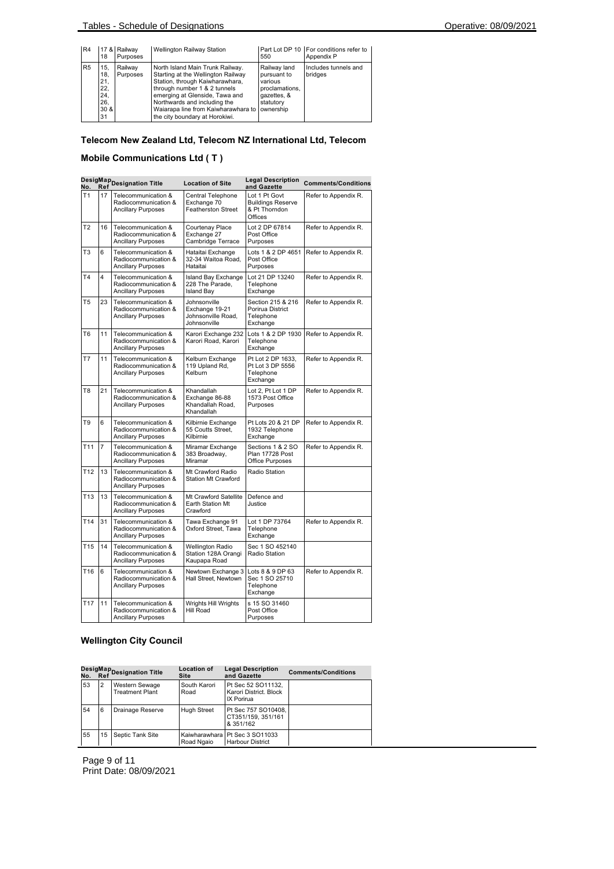| R4             | 18                                                              | 17 & Railway<br>Purposes | Wellington Railway Station                                                                                                                                                                                                                                                                     | 550                                                                                  | Part Lot DP 10   For conditions refer to<br>Appendix P |
|----------------|-----------------------------------------------------------------|--------------------------|------------------------------------------------------------------------------------------------------------------------------------------------------------------------------------------------------------------------------------------------------------------------------------------------|--------------------------------------------------------------------------------------|--------------------------------------------------------|
| R <sub>5</sub> | 15.<br>18.<br>21,<br>22.<br>24,<br>26.<br>30 <sub>8</sub><br>31 | Railwav<br>Purposes      | North Island Main Trunk Railway.<br>Starting at the Wellington Railway<br>Station, through Kaiwharawhara,<br>through number 1 & 2 tunnels<br>emerging at Glenside, Tawa and<br>Northwards and including the<br>Waiarapa line from Kaiwharawhara to ownership<br>the city boundary at Horokiwi. | Railway land<br>pursuant to<br>various<br>proclamations.<br>gazettes, &<br>statutory | Includes tunnels and<br>bridges                        |

### **Telecom New Zealand Ltd, Telecom NZ International Ltd, Telecom**

### **Mobile Communications Ltd ( T )**

| No.             | Ref            | DesigMap<br>Designation Title                                            | <b>Location of Site</b>                                              | <b>Legal Description</b><br>and Gazette                               | <b>Comments/Conditions</b> |  |
|-----------------|----------------|--------------------------------------------------------------------------|----------------------------------------------------------------------|-----------------------------------------------------------------------|----------------------------|--|
| T1              | 17             | Telecommunication &<br>Radiocommunication &<br><b>Ancillary Purposes</b> | Central Telephone<br>Exchange 70<br><b>Featherston Street</b>        | Lot 1 Pt Govt<br><b>Buildings Reserve</b><br>& Pt Thorndon<br>Offices | Refer to Appendix R.       |  |
| T <sub>2</sub>  | 16             | Telecommunication &<br>Radiocommunication &<br><b>Ancillary Purposes</b> | Courtenay Place<br>Exchange 27<br>Cambridge Terrace                  | Lot 2 DP 67814<br>Post Office<br>Purposes                             | Refer to Appendix R.       |  |
| T <sub>3</sub>  | 6              | Telecommunication &<br>Radiocommunication &<br><b>Ancillary Purposes</b> | Hataitai Exchange<br>32-34 Waitoa Road,<br>Hataitai                  | Lots 1 & 2 DP 4651<br>Post Office<br>Purposes                         | Refer to Appendix R.       |  |
| T <sub>4</sub>  | 4              | Telecommunication &<br>Radiocommunication &<br><b>Ancillary Purposes</b> | Island Bay Exchange<br>228 The Parade,<br><b>Island Bay</b>          | Lot 21 DP 13240<br>Telephone<br>Exchange                              | Refer to Appendix R.       |  |
| T5              | 23             | Telecommunication &<br>Radiocommunication &<br><b>Ancillary Purposes</b> | Johnsonville<br>Exchange 19-21<br>Johnsonville Road,<br>Johnsonville | Section 215 & 216<br>Porirua District<br>Telephone<br>Exchange        | Refer to Appendix R.       |  |
| T <sub>6</sub>  | 11             | Telecommunication &<br>Radiocommunication &<br><b>Ancillary Purposes</b> | Karori Exchange 232<br>Karori Road, Karori                           | Lots 1 & 2 DP 1930<br>Telephone<br>Exchange                           | Refer to Appendix R.       |  |
| T7              | 11             | Telecommunication &<br>Radiocommunication &<br><b>Ancillary Purposes</b> | Kelburn Exchange<br>119 Upland Rd,<br>Kelburn                        | Pt Lot 2 DP 1633,<br>Pt Lot 3 DP 5556<br>Telephone<br>Exchange        | Refer to Appendix R.       |  |
| T <sub>8</sub>  | 21             | Telecommunication &<br>Radiocommunication &<br><b>Ancillary Purposes</b> | Khandallah<br>Exchange 86-88<br>Khandallah Road.<br>Khandallah       | Lot 2, Pt Lot 1 DP<br>1573 Post Office<br>Purposes                    | Refer to Appendix R.       |  |
| T9              | 6              | Telecommunication &<br>Radiocommunication &<br><b>Ancillary Purposes</b> | Kilbirnie Exchange<br>55 Coutts Street,<br>Kilbirnie                 | Pt Lots 20 & 21 DP<br>1932 Telephone<br>Exchange                      | Refer to Appendix R.       |  |
| T <sub>11</sub> | $\overline{7}$ | Telecommunication &<br>Radiocommunication &<br><b>Ancillary Purposes</b> | Miramar Exchange<br>383 Broadway,<br>Miramar                         | Sections 1 & 2 SO<br>Plan 17728 Post<br>Office Purposes               | Refer to Appendix R.       |  |
| T <sub>12</sub> | 13             | Telecommunication &<br>Radiocommunication &<br><b>Ancillary Purposes</b> | Mt Crawford Radio<br><b>Station Mt Crawford</b>                      | Radio Station                                                         |                            |  |
| T <sub>13</sub> | 13             | Telecommunication &<br>Radiocommunication &<br><b>Ancillary Purposes</b> | Mt Crawford Satellite<br>Earth Station Mt<br>Crawford                | Defence and<br>Justice                                                |                            |  |
| T <sub>14</sub> | 31             | Telecommunication &<br>Radiocommunication &<br>Ancillary Purposes        | Tawa Exchange 91<br>Oxford Street, Tawa                              | Lot 1 DP 73764<br>Telephone<br>Exchange                               | Refer to Appendix R.       |  |
| T <sub>15</sub> | 14             | Telecommunication &<br>Radiocommunication &<br><b>Ancillary Purposes</b> | Wellington Radio<br>Station 128A Orangi<br>Kaupapa Road              | Sec 1 SO 452140<br>Radio Station                                      |                            |  |
| T <sub>16</sub> | 6              | Telecommunication &<br>Radiocommunication &<br><b>Ancillary Purposes</b> | Newtown Exchange 3<br>Hall Street, Newtown                           | Lots 8 & 9 DP 63<br>Sec 1 SO 25710<br>Telephone<br>Exchange           | Refer to Appendix R.       |  |
| T <sub>17</sub> | 11             | Telecommunication &<br>Radiocommunication &<br><b>Ancillary Purposes</b> | Wrights Hill Wrights<br>Hill Road                                    | s 15 SO 31460<br>Post Office<br>Purposes                              |                            |  |

# **Wellington City Council**

|    |                | DesigMap<br>No. Ref <sup>Designation Title</sup> | <b>Location of</b><br><b>Site</b> | <b>Legal Description</b><br>and Gazette                    | <b>Comments/Conditions</b> |
|----|----------------|--------------------------------------------------|-----------------------------------|------------------------------------------------------------|----------------------------|
| 53 | $\overline{2}$ | Western Sewage<br><b>Treatment Plant</b>         | South Karori<br>Road              | Pt Sec 52 SO11132.<br>Karori District, Block<br>IX Porirua |                            |
| 54 | 6              | <b>Drainage Reserve</b>                          | <b>Hugh Street</b>                | Pt Sec 757 SO10408,<br>CT351/159, 351/161<br>& 351/162     |                            |
| 55 | 15             | Septic Tank Site                                 | Kaiwharawhara<br>Road Ngaio       | Pt Sec 3 SO11033<br><b>Harbour District</b>                |                            |

Page 9 of 11 Print Date: 08/09/2021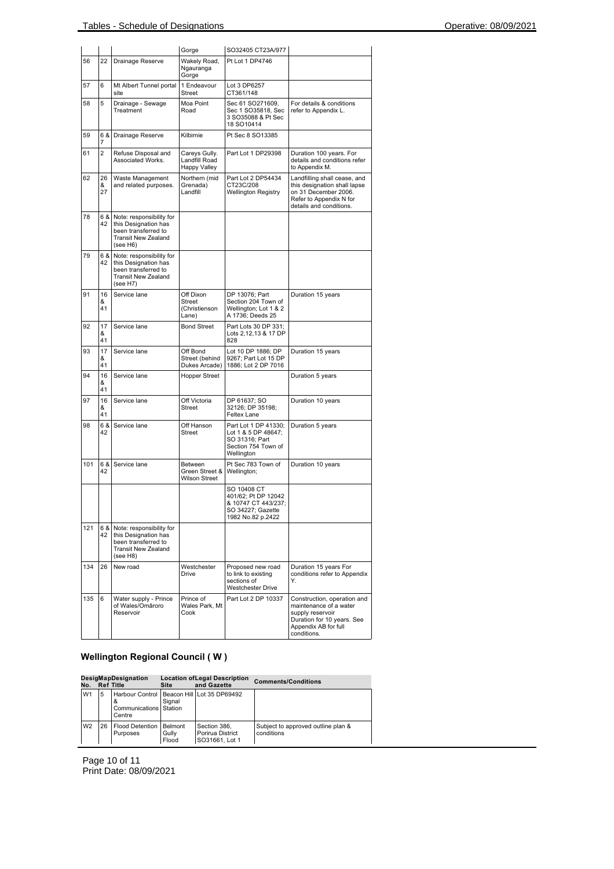|     |                |                                                                                                                   | Gorge                                                 | SO32405 CT23A/977                                                                                   |                                                                                                                                                |
|-----|----------------|-------------------------------------------------------------------------------------------------------------------|-------------------------------------------------------|-----------------------------------------------------------------------------------------------------|------------------------------------------------------------------------------------------------------------------------------------------------|
| 56  | 22             | Drainage Reserve                                                                                                  | Wakely Road,<br>Ngauranga<br>Gorge                    | Pt Lot 1 DP4746                                                                                     |                                                                                                                                                |
| 57  | 6              | Mt Albert Tunnel portal<br>site                                                                                   | 1 Endeavour<br>Street                                 | Lot 3 DP6257<br>CT361/148                                                                           |                                                                                                                                                |
| 58  | 5              | Drainage - Sewage<br>Treatment                                                                                    | Moa Point<br>Road                                     | Sec 61 SO271609,<br>Sec 1 SO35818, Sec<br>3 SO35088 & Pt Sec<br>18 SO10414                          | For details & conditions<br>refer to Appendix L.                                                                                               |
| 59  | 6 & 1<br>7     | Drainage Reserve                                                                                                  | Kilbirnie                                             | Pt Sec 8 SO13385                                                                                    |                                                                                                                                                |
| 61  | $\overline{2}$ | Refuse Disposal and<br>Associated Works.                                                                          | Careys Gully.<br>Landfill Road<br><b>Happy Valley</b> | Part Lot 1 DP29398                                                                                  | Duration 100 years. For<br>details and conditions refer<br>to Appendix M.                                                                      |
| 62  | 26<br>&<br>27  | Waste Management<br>and related purposes.                                                                         | Northern (mid<br>Grenada)<br>Landfill                 | Part Lot 2 DP54434<br>CT23C/208<br><b>Wellington Registry</b>                                       | Landfilling shall cease, and<br>this designation shall lapse<br>on 31 December 2006.<br>Refer to Appendix N for<br>details and conditions.     |
| 78  | 6 &<br>42      | Note: responsibility for<br>this Designation has<br>been transferred to<br><b>Transit New Zealand</b><br>(see H6) |                                                       |                                                                                                     |                                                                                                                                                |
| 79  | 6 &<br>42      | Note: responsibility for<br>this Designation has<br>been transferred to<br><b>Transit New Zealand</b><br>(see H7) |                                                       |                                                                                                     |                                                                                                                                                |
| 91  | 16<br>&<br>41  | Service lane                                                                                                      | Off Dixon<br>Street<br>(Christienson<br>Lane)         | DP 13076; Part<br>Section 204 Town of<br>Wellington; Lot 1 & 2<br>A 1736; Deeds 25                  | Duration 15 years                                                                                                                              |
| 92  | 17<br>&<br>41  | Service lane                                                                                                      | <b>Bond Street</b>                                    | Part Lots 30 DP 331:<br>Lots 2,12,13 & 17 DP<br>828                                                 |                                                                                                                                                |
| 93  | 17<br>&<br>41  | Service lane                                                                                                      | Off Bond<br>Street (behind<br>Dukes Arcade)           | Lot 10 DP 1886; DP<br>9267; Part Lot 15 DP<br>1886; Lot 2 DP 7016                                   | Duration 15 years                                                                                                                              |
| 94  | 16<br>&<br>41  | Service lane                                                                                                      | <b>Hopper Street</b>                                  |                                                                                                     | Duration 5 years                                                                                                                               |
| 97  | 16<br>&<br>41  | Service lane                                                                                                      | Off Victoria<br>Street                                | DP 61637; SO<br>32126; DP 35198;<br>Feltex Lane                                                     | Duration 10 years                                                                                                                              |
| 98  | 6 &<br>42      | Service lane                                                                                                      | Off Hanson<br>Street                                  | Part Lot 1 DP 41330;<br>Lot 1 & 5 DP 48647;<br>SO 31316; Part<br>Section 754 Town of<br>Wellington  | Duration 5 years                                                                                                                               |
| 101 | 6 &<br>42      | Service lane                                                                                                      | Between<br>Green Street &<br><b>Wilson Street</b>     | Pt Sec 783 Town of<br>Wellington;                                                                   | Duration 10 years                                                                                                                              |
|     |                |                                                                                                                   |                                                       | SO 10408 CT<br>401/62; Pt DP 12042<br>& 10747 CT 443/237;<br>SO 34227; Gazette<br>1982 No.82 p.2422 |                                                                                                                                                |
| 121 | 6 &<br>42      | Note: responsibility for<br>this Designation has<br>been transferred to<br>Transit New Zealand<br>(see H8)        |                                                       |                                                                                                     |                                                                                                                                                |
| 134 | 26             | New road                                                                                                          | Westchester<br><b>Drive</b>                           | Proposed new road<br>to link to existing<br>sections of<br>Westchester Drive                        | Duration 15 years For<br>conditions refer to Appendix<br>Υ.                                                                                    |
| 135 | 6              | Water supply - Prince<br>of Wales/Omāroro<br>Reservoir                                                            | Prince of<br>Wales Park, Mt<br>Cook                   | Part Lot 2 DP 10337                                                                                 | Construction, operation and<br>maintenance of a water<br>supply reservoir<br>Duration for 10 years. See<br>Appendix AB for full<br>conditions. |

# **Wellington Regional Council ( W )**

| DesigMapDesignation<br>No.<br><b>Ref Title</b> |    |                                         | <b>Location of Legal Description</b><br>and Gazette<br>Site |                                                    | <b>Comments/Conditions</b>                       |  |
|------------------------------------------------|----|-----------------------------------------|-------------------------------------------------------------|----------------------------------------------------|--------------------------------------------------|--|
| W <sub>1</sub>                                 | 5  | <b>Communications Station</b><br>Centre | Signal                                                      | Harbour Control   Beacon Hill Lot 35 DP69492       |                                                  |  |
| W <sub>2</sub>                                 | 26 | <b>Flood Detention</b><br>Purposes      | Belmont<br>Gullv<br>Flood                                   | Section 386.<br>Porirua District<br>SO31661, Lot 1 | Subject to approved outline plan &<br>conditions |  |

Page 10 of 11 Print Date: 08/09/2021